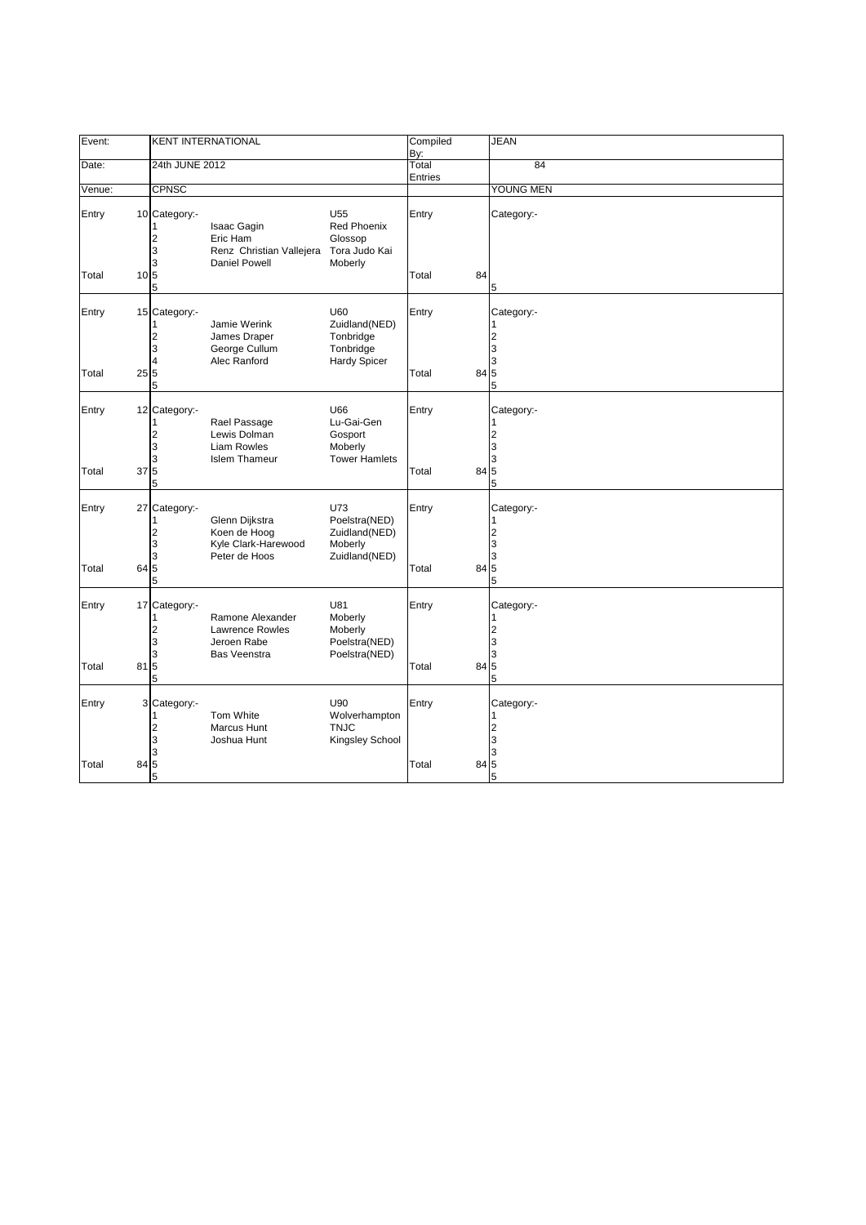| Event:         |                 | <b>KENT INTERNATIONAL</b>                                 |                                                                                  | Compiled<br>By:                                                       |                  | <b>JEAN</b> |                                                  |
|----------------|-----------------|-----------------------------------------------------------|----------------------------------------------------------------------------------|-----------------------------------------------------------------------|------------------|-------------|--------------------------------------------------|
| Date:          |                 | 24th JUNE 2012                                            |                                                                                  |                                                                       | Total<br>Entries |             | 84                                               |
| Venue:         |                 | <b>CPNSC</b>                                              |                                                                                  |                                                                       |                  |             | YOUNG MEN                                        |
| Entry          |                 | 10 Category:-<br>1<br>2<br>3                              | <b>Isaac Gagin</b><br>Eric Ham<br>Renz Christian Vallejera                       | U <sub>55</sub><br><b>Red Phoenix</b><br>Glossop<br>Tora Judo Kai     | Entry            |             | Category:-                                       |
| Total          | 10 <sub>5</sub> | 3<br>5                                                    | Daniel Powell                                                                    | Moberly                                                               | Total            | 84          | 5                                                |
| Entry          |                 | 15 Category:-<br>1<br>2<br>3<br>$\overline{4}$            | Jamie Werink<br>James Draper<br>George Cullum<br>Alec Ranford                    | U60<br>Zuidland(NED)<br>Tonbridge<br>Tonbridge<br><b>Hardy Spicer</b> | Entry            |             | Category:-<br>$\overline{2}$<br>3<br>3           |
| Total          | 25              | 5<br>5                                                    |                                                                                  |                                                                       | Total            | 84          | 5<br>5                                           |
| Entry          |                 | 12 Category:-<br>1<br>$\overline{\mathbf{c}}$<br>3<br>3   | Rael Passage<br>Lewis Dolman<br><b>Liam Rowles</b><br><b>Islem Thameur</b>       | U66<br>Lu-Gai-Gen<br>Gosport<br>Moberly<br><b>Tower Hamlets</b>       | Entry            |             | Category:-<br>$\overline{2}$<br>3<br>3           |
| Total          | 37              | 5<br>5                                                    |                                                                                  |                                                                       | Total            | 84          | 5<br>5                                           |
| Entry<br>Total | 27<br>64        | Category:-<br>1<br>$\overline{\mathbf{c}}$<br>3<br>3<br>5 | Glenn Dijkstra<br>Koen de Hoog<br>Kyle Clark-Harewood<br>Peter de Hoos           | U73<br>Poelstra(NED)<br>Zuidland(NED)<br>Moberly<br>Zuidland(NED)     | Entry<br>Total   | 84          | Category:-<br>$\overline{2}$<br>3<br>3<br>5      |
|                |                 | 5                                                         |                                                                                  |                                                                       |                  |             | 5                                                |
| Entry<br>Total | 17<br>81        | Category:-<br>1<br>2<br>3<br>3<br>5                       | Ramone Alexander<br><b>Lawrence Rowles</b><br>Jeroen Rabe<br><b>Bas Veenstra</b> | U81<br>Moberly<br>Moberly<br>Poelstra(NED)<br>Poelstra(NED)           | Entry<br>Total   | 84          | Category:-<br>1<br>$\overline{2}$<br>3<br>3<br>5 |
|                |                 | 5                                                         |                                                                                  |                                                                       |                  |             | 5                                                |
| Entry          |                 | 3 Category:-<br>1<br>2<br>3<br>3                          | Tom White<br>Marcus Hunt<br>Joshua Hunt                                          | U90<br>Wolverhampton<br><b>TNJC</b><br>Kingsley School                | Entry            |             | Category:-<br>1<br>$\overline{2}$<br>3<br>3      |
| Total          | 84              | $\overline{5}$<br>5                                       |                                                                                  |                                                                       | Total            | 84          | 5<br>5                                           |